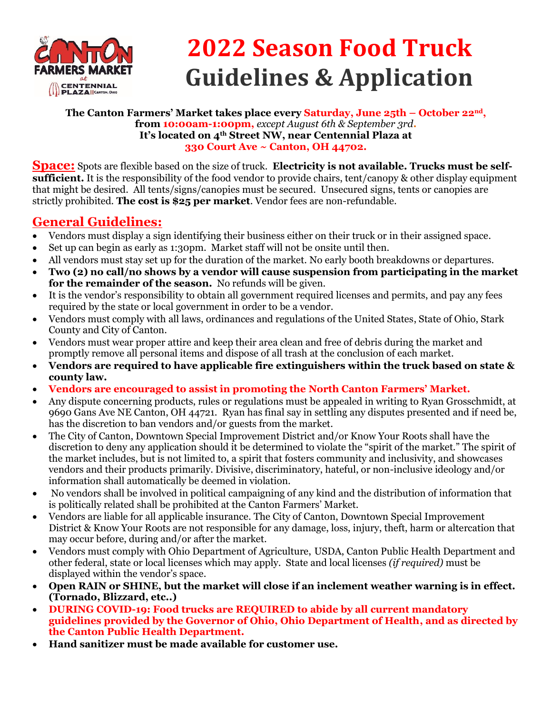

# **2022 Season Food Truck Guidelines & Application**

#### **The Canton Farmers' Market takes place every Saturday, June 25th – October 22nd, from 10:00am-1:00pm,** *except August 6th & September 3rd***. It's located on 4th Street NW, near Centennial Plaza at 330 Court Ave ~ Canton, OH 44702.**

**Space:** Spots are flexible based on the size of truck. **Electricity is not available. Trucks must be selfsufficient.** It is the responsibility of the food vendor to provide chairs, tent/canopy & other display equipment that might be desired. All tents/signs/canopies must be secured. Unsecured signs, tents or canopies are strictly prohibited. **The cost is \$25 per market**. Vendor fees are non-refundable.

### **General Guidelines:**

- Vendors must display a sign identifying their business either on their truck or in their assigned space.
- Set up can begin as early as 1:30pm. Market staff will not be onsite until then.
- All vendors must stay set up for the duration of the market. No early booth breakdowns or departures.
- **Two (2) no call/no shows by a vendor will cause suspension from participating in the market for the remainder of the season.** No refunds will be given.
- It is the vendor's responsibility to obtain all government required licenses and permits, and pay any fees required by the state or local government in order to be a vendor.
- Vendors must comply with all laws, ordinances and regulations of the United States, State of Ohio, Stark County and City of Canton.
- Vendors must wear proper attire and keep their area clean and free of debris during the market and promptly remove all personal items and dispose of all trash at the conclusion of each market.
- **Vendors are required to have applicable fire extinguishers within the truck based on state & county law.**
- **Vendors are encouraged to assist in promoting the North Canton Farmers' Market.**
- Any dispute concerning products, rules or regulations must be appealed in writing to Ryan Grosschmidt, at 9690 Gans Ave NE Canton, OH 44721. Ryan has final say in settling any disputes presented and if need be, has the discretion to ban vendors and/or guests from the market.
- The City of Canton, Downtown Special Improvement District and/or Know Your Roots shall have the discretion to deny any application should it be determined to violate the "spirit of the market." The spirit of the market includes, but is not limited to, a spirit that fosters community and inclusivity, and showcases vendors and their products primarily. Divisive, discriminatory, hateful, or non-inclusive ideology and/or information shall automatically be deemed in violation.
- No vendors shall be involved in political campaigning of any kind and the distribution of information that is politically related shall be prohibited at the Canton Farmers' Market.
- Vendors are liable for all applicable insurance. The City of Canton, Downtown Special Improvement District & Know Your Roots are not responsible for any damage, loss, injury, theft, harm or altercation that may occur before, during and/or after the market.
- Vendors must comply with Ohio Department of Agriculture, USDA, Canton Public Health Department and other federal, state or local licenses which may apply. State and local licenses *(if required)* must be displayed within the vendor's space.
- **Open RAIN or SHINE, but the market will close if an inclement weather warning is in effect. (Tornado, Blizzard, etc..)**
- **DURING COVID-19: Food trucks are REQUIRED to abide by all current mandatory guidelines provided by the Governor of Ohio, Ohio Department of Health, and as directed by the Canton Public Health Department.**
- **Hand sanitizer must be made available for customer use.**